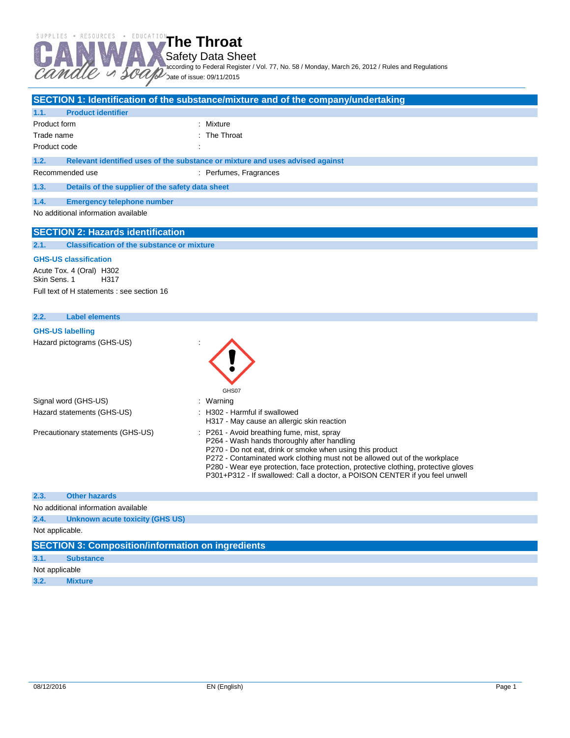Safety Data Sheet

according to Federal Register / Vol. 77, No. 58 / Monday, March 26, 2012 / Rules and Regulations

Date of issue: 09/11/2015

|                                                                     | SECTION 1: Identification of the substance/mixture and of the company/undertaking                                                       |
|---------------------------------------------------------------------|-----------------------------------------------------------------------------------------------------------------------------------------|
| 1.1.<br><b>Product identifier</b>                                   |                                                                                                                                         |
| Product form                                                        | : Mixture                                                                                                                               |
| Trade name                                                          | : The Throat                                                                                                                            |
| Product code                                                        |                                                                                                                                         |
|                                                                     |                                                                                                                                         |
| 1.2.                                                                | Relevant identified uses of the substance or mixture and uses advised against                                                           |
| Recommended use                                                     | : Perfumes, Fragrances                                                                                                                  |
| 1.3.<br>Details of the supplier of the safety data sheet            |                                                                                                                                         |
| 1.4.<br><b>Emergency telephone number</b>                           |                                                                                                                                         |
| No additional information available                                 |                                                                                                                                         |
|                                                                     |                                                                                                                                         |
| <b>SECTION 2: Hazards identification</b>                            |                                                                                                                                         |
| 2.1.<br><b>Classification of the substance or mixture</b>           |                                                                                                                                         |
| <b>GHS-US classification</b>                                        |                                                                                                                                         |
| Acute Tox. 4 (Oral) H302<br>Skin Sens, 1<br>H317                    |                                                                                                                                         |
| Full text of H statements : see section 16                          |                                                                                                                                         |
|                                                                     |                                                                                                                                         |
| 2.2.<br><b>Label elements</b>                                       |                                                                                                                                         |
| <b>GHS-US labelling</b>                                             |                                                                                                                                         |
| Hazard pictograms (GHS-US)                                          |                                                                                                                                         |
|                                                                     |                                                                                                                                         |
|                                                                     |                                                                                                                                         |
|                                                                     |                                                                                                                                         |
|                                                                     |                                                                                                                                         |
| Signal word (GHS-US)                                                | GHS07                                                                                                                                   |
| Hazard statements (GHS-US)                                          | : Warning<br>: H302 - Harmful if swallowed                                                                                              |
|                                                                     | H317 - May cause an allergic skin reaction                                                                                              |
| Precautionary statements (GHS-US)                                   | : P261 - Avoid breathing fume, mist, spray                                                                                              |
|                                                                     | P264 - Wash hands thoroughly after handling                                                                                             |
|                                                                     | P270 - Do not eat, drink or smoke when using this product<br>P272 - Contaminated work clothing must not be allowed out of the workplace |
|                                                                     | P280 - Wear eye protection, face protection, protective clothing, protective gloves                                                     |
|                                                                     | P301+P312 - If swallowed: Call a doctor, a POISON CENTER if you feel unwell                                                             |
|                                                                     |                                                                                                                                         |
| 2.3.<br><b>Other hazards</b><br>No additional information available |                                                                                                                                         |

No additional information available

**2.4. Unknown acute toxicity (GHS US)**

Not applicable.

| <b>SECTION 3: Composition/information on ingredients</b> |                  |  |  |
|----------------------------------------------------------|------------------|--|--|
| 3.1.                                                     | <b>Substance</b> |  |  |
| Not applicable                                           |                  |  |  |
| 3.2.                                                     | <b>Mixture</b>   |  |  |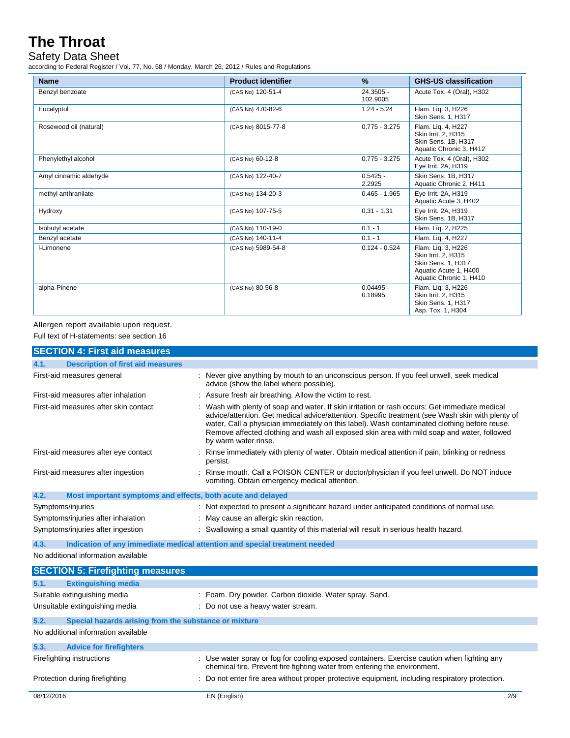### Safety Data Sheet

according to Federal Register / Vol. 77, No. 58 / Monday, March 26, 2012 / Rules and Regulations

| <b>Name</b>            | <b>Product identifier</b> | $\%$                   | <b>GHS-US classification</b>                                                                                        |
|------------------------|---------------------------|------------------------|---------------------------------------------------------------------------------------------------------------------|
| Benzyl benzoate        | (CAS No) 120-51-4         | 24.3505 -<br>102.9005  | Acute Tox. 4 (Oral), H302                                                                                           |
| Eucalyptol             | (CAS No) 470-82-6         | $1.24 - 5.24$          | Flam. Liq. 3, H226<br>Skin Sens. 1, H317                                                                            |
| Rosewood oil (natural) | (CAS No) 8015-77-8        | $0.775 - 3.275$        | Flam. Liq. 4, H227<br>Skin Irrit. 2, H315<br>Skin Sens. 1B, H317<br>Aquatic Chronic 3, H412                         |
| Phenylethyl alcohol    | (CAS No) 60-12-8          | $0.775 - 3.275$        | Acute Tox. 4 (Oral), H302<br>Eye Irrit. 2A, H319                                                                    |
| Amyl cinnamic aldehyde | (CAS No) 122-40-7         | $0.5425 -$<br>2.2925   | Skin Sens. 1B, H317<br>Aquatic Chronic 2, H411                                                                      |
| methyl anthranilate    | (CAS No) 134-20-3         | $0.465 - 1.965$        | Eve Irrit, 2A, H319<br>Aquatic Acute 3, H402                                                                        |
| Hydroxy                | (CAS No) 107-75-5         | $0.31 - 1.31$          | Eye Irrit. 2A, H319<br>Skin Sens. 1B, H317                                                                          |
| Isobutyl acetate       | (CAS No) 110-19-0         | $0.1 - 1$              | Flam. Liq. 2, H225                                                                                                  |
| Benzyl acetate         | (CAS No) 140-11-4         | $0.1 - 1$              | Flam. Lig. 4, H227                                                                                                  |
| I-Limonene             | (CAS No) 5989-54-8        | $0.124 - 0.524$        | Flam. Liq. 3, H226<br>Skin Irrit. 2, H315<br>Skin Sens. 1, H317<br>Aquatic Acute 1, H400<br>Aquatic Chronic 1, H410 |
| alpha-Pinene           | (CAS No) 80-56-8          | $0.04495 -$<br>0.18995 | Flam. Liq. 3, H226<br>Skin Irrit. 2, H315<br>Skin Sens. 1, H317<br>Asp. Tox. 1, H304                                |

# Allergen report available upon request.

Full text of H-statements: see section 16

| <b>SECTION 4: First aid measures</b>                                               |                                                                                                                                                                                                                                                                                                                                                                                                                          |  |  |
|------------------------------------------------------------------------------------|--------------------------------------------------------------------------------------------------------------------------------------------------------------------------------------------------------------------------------------------------------------------------------------------------------------------------------------------------------------------------------------------------------------------------|--|--|
| <b>Description of first aid measures</b><br>4.1.                                   |                                                                                                                                                                                                                                                                                                                                                                                                                          |  |  |
| First-aid measures general                                                         | : Never give anything by mouth to an unconscious person. If you feel unwell, seek medical<br>advice (show the label where possible).                                                                                                                                                                                                                                                                                     |  |  |
| First-aid measures after inhalation                                                | : Assure fresh air breathing. Allow the victim to rest.                                                                                                                                                                                                                                                                                                                                                                  |  |  |
| First-aid measures after skin contact                                              | : Wash with plenty of soap and water. If skin irritation or rash occurs: Get immediate medical<br>advice/attention. Get medical advice/attention. Specific treatment (see Wash skin with plenty of<br>water, Call a physician immediately on this label). Wash contaminated clothing before reuse.<br>Remove affected clothing and wash all exposed skin area with mild soap and water, followed<br>by warm water rinse. |  |  |
| First-aid measures after eye contact                                               | : Rinse immediately with plenty of water. Obtain medical attention if pain, blinking or redness<br>persist.                                                                                                                                                                                                                                                                                                              |  |  |
| First-aid measures after ingestion                                                 | Rinse mouth. Call a POISON CENTER or doctor/physician if you feel unwell. Do NOT induce<br>vomiting. Obtain emergency medical attention.                                                                                                                                                                                                                                                                                 |  |  |
| 4.2.<br>Most important symptoms and effects, both acute and delayed                |                                                                                                                                                                                                                                                                                                                                                                                                                          |  |  |
| Symptoms/injuries                                                                  | : Not expected to present a significant hazard under anticipated conditions of normal use.                                                                                                                                                                                                                                                                                                                               |  |  |
| Symptoms/injuries after inhalation                                                 | : May cause an allergic skin reaction.                                                                                                                                                                                                                                                                                                                                                                                   |  |  |
| Symptoms/injuries after ingestion                                                  | : Swallowing a small quantity of this material will result in serious health hazard.                                                                                                                                                                                                                                                                                                                                     |  |  |
| Indication of any immediate medical attention and special treatment needed<br>4.3. |                                                                                                                                                                                                                                                                                                                                                                                                                          |  |  |
| No additional information available                                                |                                                                                                                                                                                                                                                                                                                                                                                                                          |  |  |
| <b>SECTION 5: Firefighting measures</b>                                            |                                                                                                                                                                                                                                                                                                                                                                                                                          |  |  |
| 5.1.<br><b>Extinguishing media</b>                                                 |                                                                                                                                                                                                                                                                                                                                                                                                                          |  |  |
| Suitable extinguishing media                                                       | : Foam. Dry powder. Carbon dioxide. Water spray. Sand.                                                                                                                                                                                                                                                                                                                                                                   |  |  |
| Unsuitable extinguishing media                                                     | : Do not use a heavy water stream.                                                                                                                                                                                                                                                                                                                                                                                       |  |  |
| 5.2.<br>Special hazards arising from the substance or mixture                      |                                                                                                                                                                                                                                                                                                                                                                                                                          |  |  |
| No additional information available                                                |                                                                                                                                                                                                                                                                                                                                                                                                                          |  |  |
| 5.3.<br><b>Advice for firefighters</b>                                             |                                                                                                                                                                                                                                                                                                                                                                                                                          |  |  |
| Firefighting instructions                                                          | : Use water spray or fog for cooling exposed containers. Exercise caution when fighting any<br>chemical fire. Prevent fire fighting water from entering the environment.                                                                                                                                                                                                                                                 |  |  |
| Protection during firefighting                                                     | : Do not enter fire area without proper protective equipment, including respiratory protection.                                                                                                                                                                                                                                                                                                                          |  |  |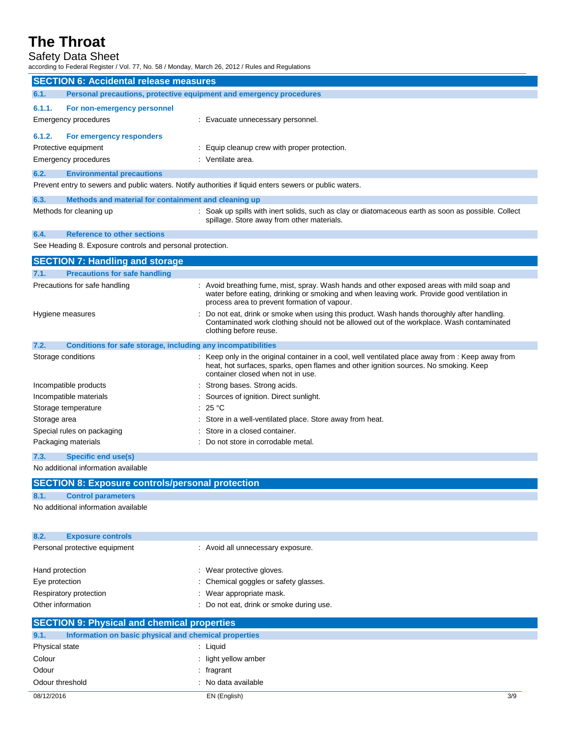### Safety Data Sheet

according to Federal Register / Vol. 77, No. 58 / Monday, March 26, 2012 / Rules and Regulations

| <b>SECTION 6: Accidental release measures</b>                               |                                                                                                                                                                                                                                           |  |
|-----------------------------------------------------------------------------|-------------------------------------------------------------------------------------------------------------------------------------------------------------------------------------------------------------------------------------------|--|
| 6.1.<br>Personal precautions, protective equipment and emergency procedures |                                                                                                                                                                                                                                           |  |
| 6.1.1.<br>For non-emergency personnel                                       |                                                                                                                                                                                                                                           |  |
| Emergency procedures                                                        | : Evacuate unnecessary personnel.                                                                                                                                                                                                         |  |
|                                                                             |                                                                                                                                                                                                                                           |  |
| 6.1.2.<br>For emergency responders                                          |                                                                                                                                                                                                                                           |  |
| Protective equipment                                                        | : Equip cleanup crew with proper protection.                                                                                                                                                                                              |  |
| <b>Emergency procedures</b>                                                 | : Ventilate area.                                                                                                                                                                                                                         |  |
| 6.2.<br><b>Environmental precautions</b>                                    |                                                                                                                                                                                                                                           |  |
|                                                                             | Prevent entry to sewers and public waters. Notify authorities if liquid enters sewers or public waters.                                                                                                                                   |  |
| 6.3.<br>Methods and material for containment and cleaning up                |                                                                                                                                                                                                                                           |  |
| Methods for cleaning up                                                     | : Soak up spills with inert solids, such as clay or diatomaceous earth as soon as possible. Collect<br>spillage. Store away from other materials.                                                                                         |  |
| 6.4.<br><b>Reference to other sections</b>                                  |                                                                                                                                                                                                                                           |  |
| See Heading 8. Exposure controls and personal protection.                   |                                                                                                                                                                                                                                           |  |
| <b>SECTION 7: Handling and storage</b>                                      |                                                                                                                                                                                                                                           |  |
| 7.1.<br><b>Precautions for safe handling</b>                                |                                                                                                                                                                                                                                           |  |
| Precautions for safe handling                                               | : Avoid breathing fume, mist, spray. Wash hands and other exposed areas with mild soap and<br>water before eating, drinking or smoking and when leaving work. Provide good ventilation in<br>process area to prevent formation of vapour. |  |
| Hygiene measures                                                            | Do not eat, drink or smoke when using this product. Wash hands thoroughly after handling.<br>Contaminated work clothing should not be allowed out of the workplace. Wash contaminated<br>clothing before reuse.                           |  |
| 7.2.<br>Conditions for safe storage, including any incompatibilities        |                                                                                                                                                                                                                                           |  |
| Storage conditions                                                          | : Keep only in the original container in a cool, well ventilated place away from : Keep away from<br>heat, hot surfaces, sparks, open flames and other ignition sources. No smoking. Keep<br>container closed when not in use.            |  |
| Incompatible products                                                       | : Strong bases. Strong acids.                                                                                                                                                                                                             |  |
| Incompatible materials                                                      | : Sources of ignition. Direct sunlight.                                                                                                                                                                                                   |  |
| Storage temperature                                                         | : 25 °C                                                                                                                                                                                                                                   |  |
| Storage area                                                                | : Store in a well-ventilated place. Store away from heat.                                                                                                                                                                                 |  |
| Special rules on packaging                                                  | Store in a closed container.                                                                                                                                                                                                              |  |
| Packaging materials                                                         | Do not store in corrodable metal.                                                                                                                                                                                                         |  |
| 7.3.<br><b>Specific end use(s)</b>                                          |                                                                                                                                                                                                                                           |  |
| No additional information available                                         |                                                                                                                                                                                                                                           |  |
| <b>SECTION 8: Exposure controls/personal protection</b>                     |                                                                                                                                                                                                                                           |  |
| 8.1.<br><b>Control parameters</b>                                           |                                                                                                                                                                                                                                           |  |
| No additional information available                                         |                                                                                                                                                                                                                                           |  |
| 8.2.<br><b>Exposure controls</b>                                            |                                                                                                                                                                                                                                           |  |
| Personal protective equipment                                               | : Avoid all unnecessary exposure.                                                                                                                                                                                                         |  |
| Hand protection                                                             | : Wear protective gloves.                                                                                                                                                                                                                 |  |
| Eye protection                                                              | Chemical goggles or safety glasses.                                                                                                                                                                                                       |  |
| Respiratory protection                                                      | Wear appropriate mask.                                                                                                                                                                                                                    |  |
| Other information                                                           | Do not eat, drink or smoke during use.                                                                                                                                                                                                    |  |
| <b>SECTION 9: Physical and chemical properties</b>                          |                                                                                                                                                                                                                                           |  |
| 9.1.<br>Information on basic physical and chemical properties               |                                                                                                                                                                                                                                           |  |
| Physical state                                                              | : Liquid                                                                                                                                                                                                                                  |  |
| Colour                                                                      | : light yellow amber                                                                                                                                                                                                                      |  |
| Odour                                                                       | fragrant                                                                                                                                                                                                                                  |  |
| Odour threshold                                                             | No data available                                                                                                                                                                                                                         |  |
| 08/12/2016                                                                  | EN (English)<br>3/9                                                                                                                                                                                                                       |  |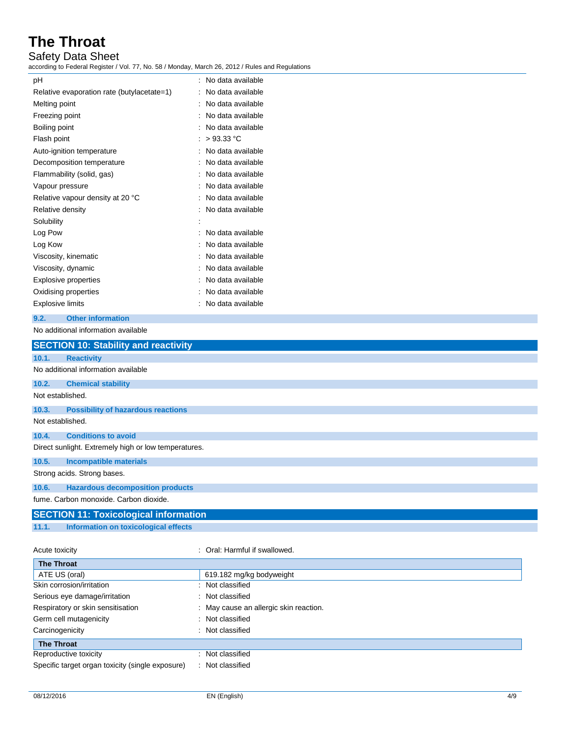### Safety Data Sheet

according to Federal Register / Vol. 77, No. 58 / Monday, March 26, 2012 / Rules and Regulations

| рH                                         | No data available |
|--------------------------------------------|-------------------|
| Relative evaporation rate (butylacetate=1) | No data available |
| Melting point                              | No data available |
| Freezing point                             | No data available |
| Boiling point                              | No data available |
| Flash point                                | $>93.33$ °C       |
| Auto-ignition temperature                  | No data available |
| Decomposition temperature                  | No data available |
| Flammability (solid, gas)                  | No data available |
| Vapour pressure                            | No data available |
| Relative vapour density at 20 °C           | No data available |
| Relative density                           | No data available |
| Solubility                                 |                   |
| Log Pow                                    | No data available |
| Log Kow                                    | No data available |
| Viscosity, kinematic                       | No data available |
| Viscosity, dynamic                         | No data available |
| <b>Explosive properties</b>                | No data available |
| Oxidising properties                       | No data available |
| <b>Explosive limits</b>                    | No data available |
|                                            |                   |

### **9.2. Other information**

No additional information available

|                                                      | <b>SECTION 10: Stability and reactivity</b>  |  |  |
|------------------------------------------------------|----------------------------------------------|--|--|
| 10.1.                                                | <b>Reactivity</b>                            |  |  |
|                                                      | No additional information available          |  |  |
| 10.2.                                                | <b>Chemical stability</b>                    |  |  |
| Not established.                                     |                                              |  |  |
| 10.3.                                                | <b>Possibility of hazardous reactions</b>    |  |  |
| Not established.                                     |                                              |  |  |
| 10.4.                                                | <b>Conditions to avoid</b>                   |  |  |
| Direct sunlight. Extremely high or low temperatures. |                                              |  |  |
| 10.5.                                                | <b>Incompatible materials</b>                |  |  |
|                                                      | Strong acids. Strong bases.                  |  |  |
| 10.6.                                                | <b>Hazardous decomposition products</b>      |  |  |
|                                                      | fume. Carbon monoxide. Carbon dioxide.       |  |  |
|                                                      | <b>SECTION 11: Toxicological information</b> |  |  |

**11.1. Information on toxicological effects**

#### Acute toxicity **in the case of the Caucase** of Cral: Harmful if swallowed.

| <b>The Throat</b>                                |                                        |
|--------------------------------------------------|----------------------------------------|
| ATE US (oral)                                    | 619.182 mg/kg bodyweight               |
| Skin corrosion/irritation                        | : Not classified                       |
| Serious eye damage/irritation                    | : Not classified                       |
| Respiratory or skin sensitisation                | : May cause an allergic skin reaction. |
| Germ cell mutagenicity                           | : Not classified                       |
| Carcinogenicity                                  | Not classified                         |
| <b>The Throat</b>                                |                                        |
| Reproductive toxicity                            | Not classified                         |
| Specific target organ toxicity (single exposure) | Not classified<br>÷                    |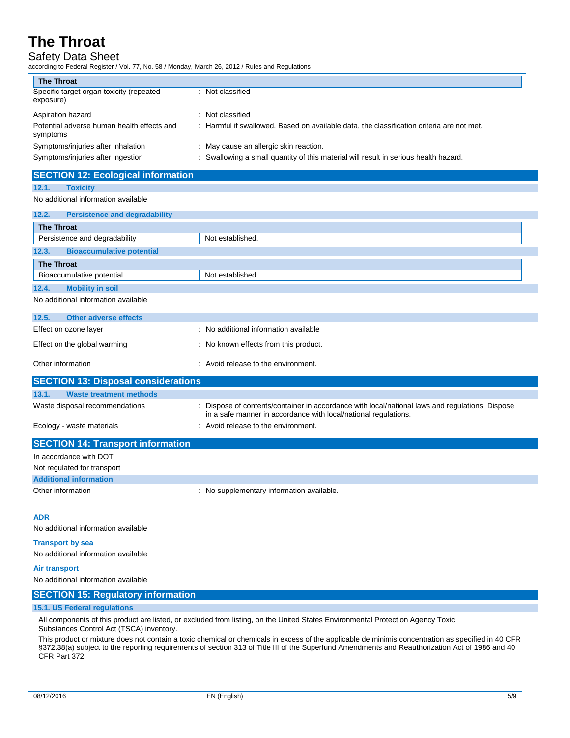# Safety Data Sheet

according to Federal Register / Vol. 77, No. 58 / Monday, March 26, 2012 / Rules and Regulations

| <b>The Throat</b>                                      |                                                                                           |
|--------------------------------------------------------|-------------------------------------------------------------------------------------------|
| Specific target organ toxicity (repeated<br>exposure)  | : Not classified                                                                          |
| Aspiration hazard                                      | : Not classified                                                                          |
| Potential adverse human health effects and<br>symptoms | : Harmful if swallowed. Based on available data, the classification criteria are not met. |
| Symptoms/injuries after inhalation                     | : May cause an allergic skin reaction.                                                    |
| Symptoms/injuries after ingestion                      | : Swallowing a small quantity of this material will result in serious health hazard.      |

# **SECTION 12: Ecological information**

#### **12.1. Toxicity** No additional information available

| <b>The Throat</b>                   |                                                                                                    |  |
|-------------------------------------|----------------------------------------------------------------------------------------------------|--|
|                                     | Not established.                                                                                   |  |
| <b>Bioaccumulative potential</b>    |                                                                                                    |  |
| <b>The Throat</b>                   |                                                                                                    |  |
|                                     | Not established.                                                                                   |  |
| <b>Mobility in soil</b>             |                                                                                                    |  |
| No additional information available |                                                                                                    |  |
|                                     |                                                                                                    |  |
| <b>Other adverse effects</b>        |                                                                                                    |  |
|                                     | <b>Persistence and degradability</b><br>Persistence and degradability<br>Bioaccumulative potential |  |

| Effect on ozone layer        | : No additional information available |
|------------------------------|---------------------------------------|
| Effect on the global warming | No known effects from this product.   |
| Other information            | : Avoid release to the environment.   |

| <b>SECTION 13: Disposal considerations</b> |                                                                                                                                                                    |  |  |
|--------------------------------------------|--------------------------------------------------------------------------------------------------------------------------------------------------------------------|--|--|
| 13.1.<br>Waste treatment methods           |                                                                                                                                                                    |  |  |
| Waste disposal recommendations             | : Dispose of contents/container in accordance with local/national laws and regulations. Dispose<br>in a safe manner in accordance with local/national regulations. |  |  |
| Ecology - waste materials                  | : Avoid release to the environment.                                                                                                                                |  |  |

| <b>SECTION 14: Transport information</b> |                                           |
|------------------------------------------|-------------------------------------------|
| In accordance with DOT                   |                                           |
| Not regulated for transport              |                                           |
| <b>Additional information</b>            |                                           |
| Other information                        | : No supplementary information available. |

#### **ADR**

No additional information available

#### **Transport by sea**

No additional information available

#### **Air transport**

No additional information available

### **SECTION 15: Regulatory information**

#### **15.1. US Federal regulations**

All components of this product are listed, or excluded from listing, on the United States Environmental Protection Agency Toxic Substances Control Act (TSCA) inventory.

This product or mixture does not contain a toxic chemical or chemicals in excess of the applicable de minimis concentration as specified in 40 CFR §372.38(a) subject to the reporting requirements of section 313 of Title III of the Superfund Amendments and Reauthorization Act of 1986 and 40 CFR Part 372.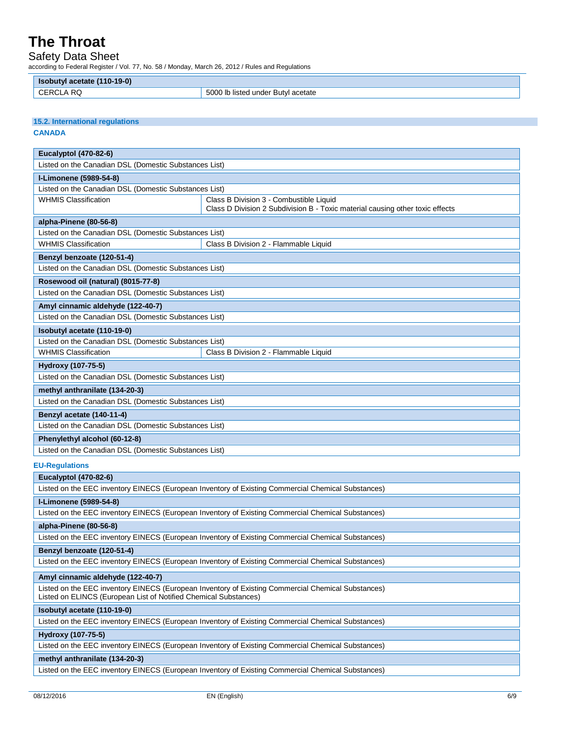Safety Data Sheet

according to Federal Register / Vol. 77, No. 58 / Monday, March 26, 2012 / Rules and Regulations

| Isobutyl acetate (110-19-0)                                                                                                                                            |                                                                                                    |  |  |
|------------------------------------------------------------------------------------------------------------------------------------------------------------------------|----------------------------------------------------------------------------------------------------|--|--|
| <b>CERCLA RQ</b>                                                                                                                                                       | 5000 lb listed under Butyl acetate                                                                 |  |  |
|                                                                                                                                                                        |                                                                                                    |  |  |
|                                                                                                                                                                        |                                                                                                    |  |  |
| <b>15.2. International regulations</b><br><b>CANADA</b>                                                                                                                |                                                                                                    |  |  |
|                                                                                                                                                                        |                                                                                                    |  |  |
| <b>Eucalyptol (470-82-6)</b>                                                                                                                                           |                                                                                                    |  |  |
| Listed on the Canadian DSL (Domestic Substances List)                                                                                                                  |                                                                                                    |  |  |
| I-Limonene (5989-54-8)                                                                                                                                                 |                                                                                                    |  |  |
| Listed on the Canadian DSL (Domestic Substances List)                                                                                                                  |                                                                                                    |  |  |
| <b>WHMIS Classification</b>                                                                                                                                            | Class B Division 3 - Combustible Liquid                                                            |  |  |
|                                                                                                                                                                        | Class D Division 2 Subdivision B - Toxic material causing other toxic effects                      |  |  |
| alpha-Pinene (80-56-8)                                                                                                                                                 |                                                                                                    |  |  |
| Listed on the Canadian DSL (Domestic Substances List)                                                                                                                  |                                                                                                    |  |  |
| <b>WHMIS Classification</b>                                                                                                                                            | Class B Division 2 - Flammable Liquid                                                              |  |  |
| Benzyl benzoate (120-51-4)                                                                                                                                             |                                                                                                    |  |  |
| Listed on the Canadian DSL (Domestic Substances List)                                                                                                                  |                                                                                                    |  |  |
| Rosewood oil (natural) (8015-77-8)                                                                                                                                     |                                                                                                    |  |  |
| Listed on the Canadian DSL (Domestic Substances List)                                                                                                                  |                                                                                                    |  |  |
| Amyl cinnamic aldehyde (122-40-7)                                                                                                                                      |                                                                                                    |  |  |
| Listed on the Canadian DSL (Domestic Substances List)                                                                                                                  |                                                                                                    |  |  |
| Isobutyl acetate (110-19-0)                                                                                                                                            |                                                                                                    |  |  |
| Listed on the Canadian DSL (Domestic Substances List)                                                                                                                  |                                                                                                    |  |  |
| <b>WHMIS Classification</b>                                                                                                                                            | Class B Division 2 - Flammable Liquid                                                              |  |  |
|                                                                                                                                                                        |                                                                                                    |  |  |
| Hydroxy (107-75-5)<br>Listed on the Canadian DSL (Domestic Substances List)                                                                                            |                                                                                                    |  |  |
|                                                                                                                                                                        |                                                                                                    |  |  |
| methyl anthranilate (134-20-3)<br>Listed on the Canadian DSL (Domestic Substances List)                                                                                |                                                                                                    |  |  |
|                                                                                                                                                                        |                                                                                                    |  |  |
| Benzyl acetate (140-11-4)                                                                                                                                              |                                                                                                    |  |  |
| Listed on the Canadian DSL (Domestic Substances List)                                                                                                                  |                                                                                                    |  |  |
| Phenylethyl alcohol (60-12-8)                                                                                                                                          |                                                                                                    |  |  |
| Listed on the Canadian DSL (Domestic Substances List)                                                                                                                  |                                                                                                    |  |  |
| <b>EU-Regulations</b>                                                                                                                                                  |                                                                                                    |  |  |
| <b>Eucalyptol (470-82-6)</b>                                                                                                                                           |                                                                                                    |  |  |
|                                                                                                                                                                        | Listed on the EEC inventory EINECS (European Inventory of Existing Commercial Chemical Substances) |  |  |
| I-Limonene (5989-54-8)                                                                                                                                                 |                                                                                                    |  |  |
|                                                                                                                                                                        | Listed on the EEC inventory EINECS (European Inventory of Existing Commercial Chemical Substances) |  |  |
| alpha-Pinene (80-56-8)                                                                                                                                                 |                                                                                                    |  |  |
|                                                                                                                                                                        | Listed on the EEC inventory EINECS (European Inventory of Existing Commercial Chemical Substances) |  |  |
| Benzyl benzoate (120-51-4)                                                                                                                                             |                                                                                                    |  |  |
|                                                                                                                                                                        | Listed on the EEC inventory EINECS (European Inventory of Existing Commercial Chemical Substances) |  |  |
|                                                                                                                                                                        |                                                                                                    |  |  |
| Amyl cinnamic aldehyde (122-40-7)                                                                                                                                      |                                                                                                    |  |  |
| Listed on the EEC inventory EINECS (European Inventory of Existing Commercial Chemical Substances)<br>Listed on ELINCS (European List of Notified Chemical Substances) |                                                                                                    |  |  |
| Isobutyl acetate (110-19-0)                                                                                                                                            |                                                                                                    |  |  |
| Listed on the EEC inventory EINECS (European Inventory of Existing Commercial Chemical Substances)                                                                     |                                                                                                    |  |  |
| Hydroxy (107-75-5)                                                                                                                                                     |                                                                                                    |  |  |
| Listed on the EEC inventory EINECS (European Inventory of Existing Commercial Chemical Substances)                                                                     |                                                                                                    |  |  |
| methyl anthranilate (134-20-3)                                                                                                                                         |                                                                                                    |  |  |
| Listed on the EEC inventory EINECS (European Inventory of Existing Commercial Chemical Substances)                                                                     |                                                                                                    |  |  |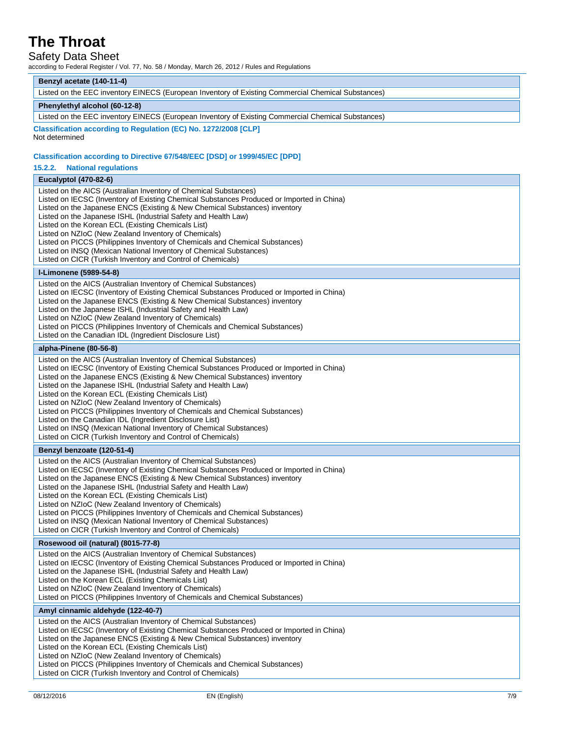### Safety Data Sheet

according to Federal Register / Vol. 77, No. 58 / Monday, March 26, 2012 / Rules and Regulations

| Benzyl acetate (140-11-4)<br>Listed on the EEC inventory EINECS (European Inventory of Existing Commercial Chemical Substances)                                                                                                                                                                                                                                                                                                                                                                                                                                                                                                                                                                             |  |  |
|-------------------------------------------------------------------------------------------------------------------------------------------------------------------------------------------------------------------------------------------------------------------------------------------------------------------------------------------------------------------------------------------------------------------------------------------------------------------------------------------------------------------------------------------------------------------------------------------------------------------------------------------------------------------------------------------------------------|--|--|
| Phenylethyl alcohol (60-12-8)                                                                                                                                                                                                                                                                                                                                                                                                                                                                                                                                                                                                                                                                               |  |  |
| Listed on the EEC inventory EINECS (European Inventory of Existing Commercial Chemical Substances)                                                                                                                                                                                                                                                                                                                                                                                                                                                                                                                                                                                                          |  |  |
| Classification according to Regulation (EC) No. 1272/2008 [CLP]                                                                                                                                                                                                                                                                                                                                                                                                                                                                                                                                                                                                                                             |  |  |
| Not determined                                                                                                                                                                                                                                                                                                                                                                                                                                                                                                                                                                                                                                                                                              |  |  |
| Classification according to Directive 67/548/EEC [DSD] or 1999/45/EC [DPD]                                                                                                                                                                                                                                                                                                                                                                                                                                                                                                                                                                                                                                  |  |  |
| <b>National regulations</b><br>15.2.2.                                                                                                                                                                                                                                                                                                                                                                                                                                                                                                                                                                                                                                                                      |  |  |
| <b>Eucalyptol (470-82-6)</b>                                                                                                                                                                                                                                                                                                                                                                                                                                                                                                                                                                                                                                                                                |  |  |
| Listed on the AICS (Australian Inventory of Chemical Substances)<br>Listed on IECSC (Inventory of Existing Chemical Substances Produced or Imported in China)<br>Listed on the Japanese ENCS (Existing & New Chemical Substances) inventory<br>Listed on the Japanese ISHL (Industrial Safety and Health Law)<br>Listed on the Korean ECL (Existing Chemicals List)<br>Listed on NZIoC (New Zealand Inventory of Chemicals)<br>Listed on PICCS (Philippines Inventory of Chemicals and Chemical Substances)<br>Listed on INSQ (Mexican National Inventory of Chemical Substances)<br>Listed on CICR (Turkish Inventory and Control of Chemicals)                                                            |  |  |
| I-Limonene (5989-54-8)                                                                                                                                                                                                                                                                                                                                                                                                                                                                                                                                                                                                                                                                                      |  |  |
| Listed on the AICS (Australian Inventory of Chemical Substances)<br>Listed on IECSC (Inventory of Existing Chemical Substances Produced or Imported in China)<br>Listed on the Japanese ENCS (Existing & New Chemical Substances) inventory<br>Listed on the Japanese ISHL (Industrial Safety and Health Law)<br>Listed on NZIoC (New Zealand Inventory of Chemicals)<br>Listed on PICCS (Philippines Inventory of Chemicals and Chemical Substances)<br>Listed on the Canadian IDL (Ingredient Disclosure List)                                                                                                                                                                                            |  |  |
| alpha-Pinene (80-56-8)                                                                                                                                                                                                                                                                                                                                                                                                                                                                                                                                                                                                                                                                                      |  |  |
| Listed on the AICS (Australian Inventory of Chemical Substances)<br>Listed on IECSC (Inventory of Existing Chemical Substances Produced or Imported in China)<br>Listed on the Japanese ENCS (Existing & New Chemical Substances) inventory<br>Listed on the Japanese ISHL (Industrial Safety and Health Law)<br>Listed on the Korean ECL (Existing Chemicals List)<br>Listed on NZIoC (New Zealand Inventory of Chemicals)<br>Listed on PICCS (Philippines Inventory of Chemicals and Chemical Substances)<br>Listed on the Canadian IDL (Ingredient Disclosure List)<br>Listed on INSQ (Mexican National Inventory of Chemical Substances)<br>Listed on CICR (Turkish Inventory and Control of Chemicals) |  |  |
| Benzyl benzoate (120-51-4)                                                                                                                                                                                                                                                                                                                                                                                                                                                                                                                                                                                                                                                                                  |  |  |
| Listed on the AICS (Australian Inventory of Chemical Substances)<br>Listed on IECSC (Inventory of Existing Chemical Substances Produced or Imported in China)<br>Listed on the Japanese ENCS (Existing & New Chemical Substances) inventory<br>Listed on the Japanese ISHL (Industrial Safety and Health Law)<br>Listed on the Korean ECL (Existing Chemicals List)<br>Listed on NZIoC (New Zealand Inventory of Chemicals)<br>Listed on PICCS (Philippines Inventory of Chemicals and Chemical Substances)<br>Listed on INSQ (Mexican National Inventory of Chemical Substances)<br>Listed on CICR (Turkish Inventory and Control of Chemicals)                                                            |  |  |
| Rosewood oil (natural) (8015-77-8)                                                                                                                                                                                                                                                                                                                                                                                                                                                                                                                                                                                                                                                                          |  |  |
| Listed on the AICS (Australian Inventory of Chemical Substances)<br>Listed on IECSC (Inventory of Existing Chemical Substances Produced or Imported in China)<br>Listed on the Japanese ISHL (Industrial Safety and Health Law)<br>Listed on the Korean ECL (Existing Chemicals List)<br>Listed on NZIoC (New Zealand Inventory of Chemicals)<br>Listed on PICCS (Philippines Inventory of Chemicals and Chemical Substances)                                                                                                                                                                                                                                                                               |  |  |
| Amyl cinnamic aldehyde (122-40-7)                                                                                                                                                                                                                                                                                                                                                                                                                                                                                                                                                                                                                                                                           |  |  |
| Listed on the AICS (Australian Inventory of Chemical Substances)<br>Listed on IECSC (Inventory of Existing Chemical Substances Produced or Imported in China)<br>Listed on the Japanese ENCS (Existing & New Chemical Substances) inventory<br>Listed on the Korean ECL (Existing Chemicals List)<br>Listed on NZIoC (New Zealand Inventory of Chemicals)<br>Listed on PICCS (Philippines Inventory of Chemicals and Chemical Substances)<br>Listed on CICR (Turkish Inventory and Control of Chemicals)                                                                                                                                                                                                    |  |  |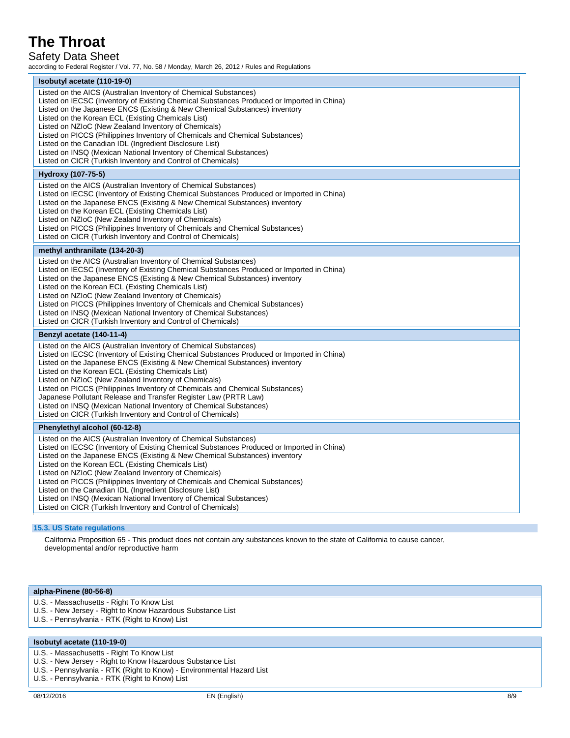Safety Data Sheet

according to Federal Register / Vol. 77, No. 58 / Monday, March 26, 2012 / Rules and Regulations

| Isobutyl acetate (110-19-0)                                                                                                                                                                                                                                                                                                                                                                                                                                                                                                                                                                                                                       |
|---------------------------------------------------------------------------------------------------------------------------------------------------------------------------------------------------------------------------------------------------------------------------------------------------------------------------------------------------------------------------------------------------------------------------------------------------------------------------------------------------------------------------------------------------------------------------------------------------------------------------------------------------|
| Listed on the AICS (Australian Inventory of Chemical Substances)<br>Listed on IECSC (Inventory of Existing Chemical Substances Produced or Imported in China)<br>Listed on the Japanese ENCS (Existing & New Chemical Substances) inventory<br>Listed on the Korean ECL (Existing Chemicals List)<br>Listed on NZIoC (New Zealand Inventory of Chemicals)<br>Listed on PICCS (Philippines Inventory of Chemicals and Chemical Substances)<br>Listed on the Canadian IDL (Ingredient Disclosure List)<br>Listed on INSQ (Mexican National Inventory of Chemical Substances)<br>Listed on CICR (Turkish Inventory and Control of Chemicals)         |
| Hydroxy (107-75-5)                                                                                                                                                                                                                                                                                                                                                                                                                                                                                                                                                                                                                                |
| Listed on the AICS (Australian Inventory of Chemical Substances)<br>Listed on IECSC (Inventory of Existing Chemical Substances Produced or Imported in China)<br>Listed on the Japanese ENCS (Existing & New Chemical Substances) inventory<br>Listed on the Korean ECL (Existing Chemicals List)<br>Listed on NZIoC (New Zealand Inventory of Chemicals)<br>Listed on PICCS (Philippines Inventory of Chemicals and Chemical Substances)<br>Listed on CICR (Turkish Inventory and Control of Chemicals)                                                                                                                                          |
| methyl anthranilate (134-20-3)                                                                                                                                                                                                                                                                                                                                                                                                                                                                                                                                                                                                                    |
| Listed on the AICS (Australian Inventory of Chemical Substances)<br>Listed on IECSC (Inventory of Existing Chemical Substances Produced or Imported in China)<br>Listed on the Japanese ENCS (Existing & New Chemical Substances) inventory<br>Listed on the Korean ECL (Existing Chemicals List)<br>Listed on NZIoC (New Zealand Inventory of Chemicals)<br>Listed on PICCS (Philippines Inventory of Chemicals and Chemical Substances)<br>Listed on INSQ (Mexican National Inventory of Chemical Substances)<br>Listed on CICR (Turkish Inventory and Control of Chemicals)                                                                    |
| Benzyl acetate (140-11-4)                                                                                                                                                                                                                                                                                                                                                                                                                                                                                                                                                                                                                         |
| Listed on the AICS (Australian Inventory of Chemical Substances)<br>Listed on IECSC (Inventory of Existing Chemical Substances Produced or Imported in China)<br>Listed on the Japanese ENCS (Existing & New Chemical Substances) inventory<br>Listed on the Korean ECL (Existing Chemicals List)<br>Listed on NZIoC (New Zealand Inventory of Chemicals)<br>Listed on PICCS (Philippines Inventory of Chemicals and Chemical Substances)<br>Japanese Pollutant Release and Transfer Register Law (PRTR Law)<br>Listed on INSQ (Mexican National Inventory of Chemical Substances)<br>Listed on CICR (Turkish Inventory and Control of Chemicals) |
| Phenylethyl alcohol (60-12-8)                                                                                                                                                                                                                                                                                                                                                                                                                                                                                                                                                                                                                     |
| Listed on the AICS (Australian Inventory of Chemical Substances)<br>Listed on IECSC (Inventory of Existing Chemical Substances Produced or Imported in China)<br>Listed on the Japanese ENCS (Existing & New Chemical Substances) inventory<br>Listed on the Korean ECL (Existing Chemicals List)<br>Listed on NZIoC (New Zealand Inventory of Chemicals)<br>Listed on PICCS (Philippines Inventory of Chemicals and Chemical Substances)<br>Listed on the Canadian IDL (Ingredient Disclosure List)<br>Listed on INSQ (Mexican National Inventory of Chemical Substances)<br>Listed on CICR (Turkish Inventory and Control of Chemicals)         |

### **15.3. US State regulations**

California Proposition 65 - This product does not contain any substances known to the state of California to cause cancer, developmental and/or reproductive harm

#### **alpha-Pinene (80-56-8)**

- U.S. Massachusetts Right To Know List
- U.S. New Jersey Right to Know Hazardous Substance List
- U.S. Pennsylvania RTK (Right to Know) List

#### **Isobutyl acetate (110-19-0)**

- U.S. Massachusetts Right To Know List
- U.S. New Jersey Right to Know Hazardous Substance List
- U.S. Pennsylvania RTK (Right to Know) Environmental Hazard List
- U.S. Pennsylvania RTK (Right to Know) List